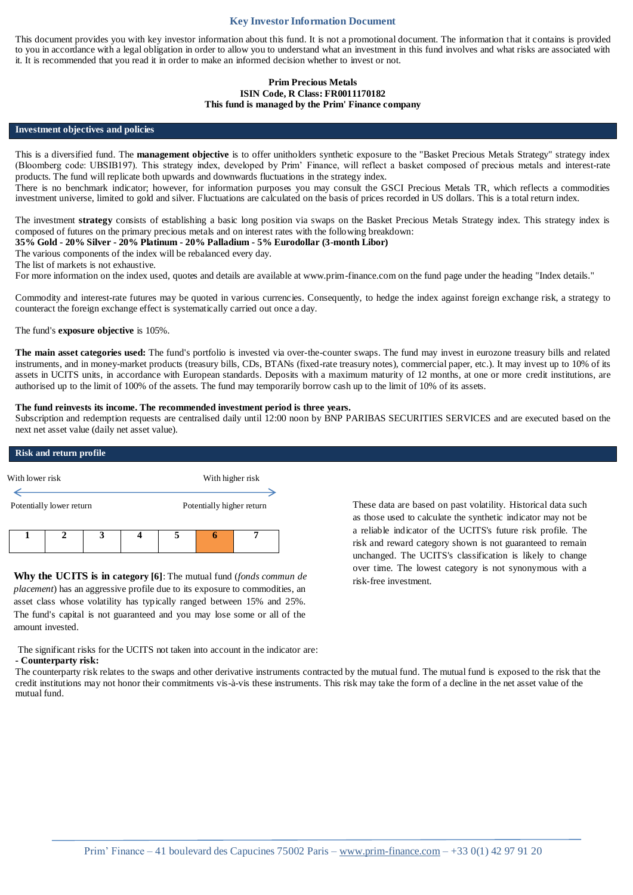# **Key Investor Information Document**

This document provides you with key investor information about this fund. It is not a promotional document. The information that it contains is provided to you in accordance with a legal obligation in order to allow you to understand what an investment in this fund involves and what risks are associated with it. It is recommended that you read it in order to make an informed decision whether to invest or not.

### **Prim Precious Metals ISIN Code, R Class: FR0011170182 This fund is managed by the Prim' Finance company**

#### **Investment objectives and policies**

This is a diversified fund. The **management objective** is to offer unitholders synthetic exposure to the "Basket Precious Metals Strategy" strategy index (Bloomberg code: UBSIB197). This strategy index, developed by Prim' Finance, will reflect a basket composed of precious metals and interest-rate products. The fund will replicate both upwards and downwards fluctuations in the strategy index.

There is no benchmark indicator; however, for information purposes you may consult the GSCI Precious Metals TR, which reflects a commodities investment universe, limited to gold and silver. Fluctuations are calculated on the basis of prices recorded in US dollars. This is a total return index.

The investment **strategy** consists of establishing a basic long position via swaps on the Basket Precious Metals Strategy index. This strategy index is composed of futures on the primary precious metals and on interest rates with the following breakdown:

### **35% Gold - 20% Silver - 20% Platinum - 20% Palladium - 5% Eurodollar (3-month Libor)**

The various components of the index will be rebalanced every day.

The list of markets is not exhaustive.

For more information on the index used, quotes and details are available at www.prim-finance.com on the fund page under the heading "Index details."

Commodity and interest-rate futures may be quoted in various currencies. Consequently, to hedge the index against foreign exchange risk, a strategy to counteract the foreign exchange effect is systematically carried out once a day.

The fund's **exposure objective** is 105%.

**The main asset categories used:** The fund's portfolio is invested via over-the-counter swaps. The fund may invest in eurozone treasury bills and related instruments, and in money-market products (treasury bills, CDs, BTANs (fixed-rate treasury notes), commercial paper, etc.). It may invest up to 10% of its assets in UCITS units, in accordance with European standards. Deposits with a maximum maturity of 12 months, at one or more credit institutions, are authorised up to the limit of 100% of the assets. The fund may temporarily borrow cash up to the limit of 10% of its assets.

### **The fund reinvests its income. The recommended investment period is three years.**

Subscription and redemption requests are centralised daily until 12:00 noon by BNP PARIBAS SECURITIES SERVICES and are executed based on the next net asset value (daily net asset value).

# **Risk and return profile**



**Why the UCITS is in category [6]**: The mutual fund (*fonds commun de placement*) has an aggressive profile due to its exposure to commodities, an asset class whose volatility has typically ranged between 15% and 25%. The fund's capital is not guaranteed and you may lose some or all of the amount invested.

These data are based on past volatility. Historical data such as those used to calculate the synthetic indicator may not be a reliable indicator of the UCITS's future risk profile. The risk and reward category shown is not guaranteed to remain unchanged. The UCITS's classification is likely to change over time. The lowest category is not synonymous with a risk-free investment.

The significant risks for the UCITS not taken into account in the indicator are: **- Counterparty risk:** 

The counterparty risk relates to the swaps and other derivative instruments contracted by the mutual fund. The mutual fund is exposed to the risk that the credit institutions may not honor their commitments vis-à-vis these instruments. This risk may take the form of a decline in the net asset value of the mutual fund.